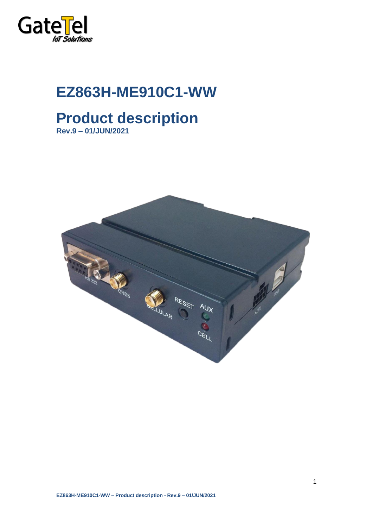

# **EZ863H-ME910C1-WW**

## **Product description Rev.9 – 01/JUN/2021**

**CALL STRATE** ESET<br>T ULAR  $c^{E}$ 

1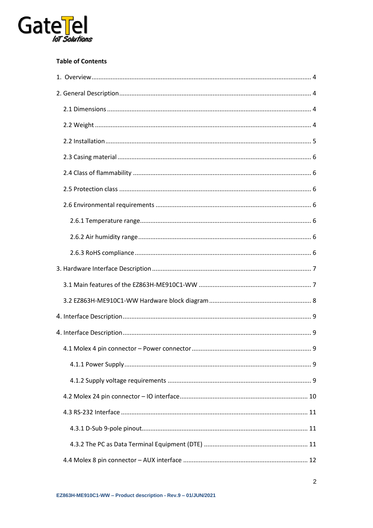

#### **Table of Contents**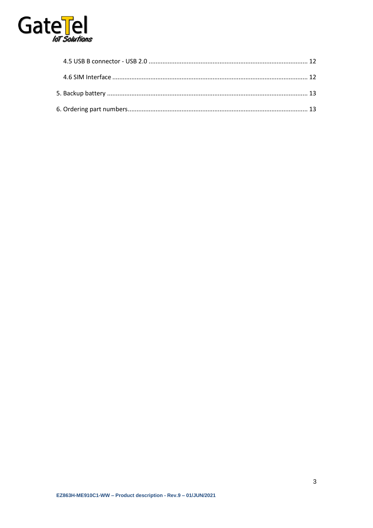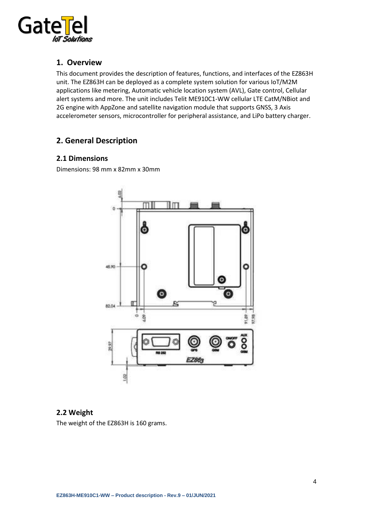

#### <span id="page-3-0"></span>**1. Overview**

This document provides the description of features, functions, and interfaces of the EZ863H unit. The EZ863H can be deployed as a complete system solution for various IoT/M2M applications like metering, Automatic vehicle location system (AVL), Gate control, Cellular alert systems and more. The unit includes Telit ME910C1-WW cellular LTE CatM/NBiot and 2G engine with AppZone and satellite navigation module that supports GNSS, 3 Axis accelerometer sensors, microcontroller for peripheral assistance, and LiPo battery charger.

#### <span id="page-3-1"></span>**2. General Description**

#### <span id="page-3-2"></span>**2.1 Dimensions**

<span id="page-3-3"></span>Dimensions: 98 mm x 82mm x 30mm



#### **2.2 Weight**

The weight of the EZ863H is 160 grams.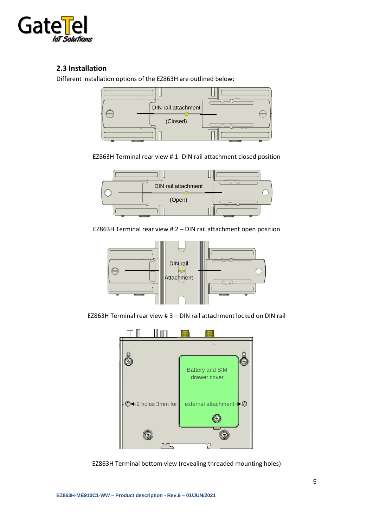

#### <span id="page-4-0"></span>**2.3 Installation**

Different installation options of the EZ863H are outlined below:



EZ863H Terminal rear view # 1- DIN rail attachment closed position



EZ863H Terminal rear view # 2 – DIN rail attachment open position

![](_page_4_Figure_7.jpeg)

EZ863H Terminal rear view # 3 – DIN rail attachment locked on DIN rail

![](_page_4_Figure_9.jpeg)

EZ863H Terminal bottom view (revealing threaded mounting holes)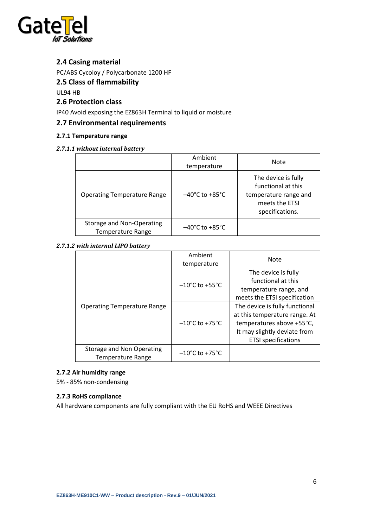![](_page_5_Picture_0.jpeg)

#### <span id="page-5-0"></span>**2.4 Casing material**

PC/ABS Cycoloy / Polycarbonate 1200 HF

#### <span id="page-5-1"></span>**2.5 Class of flammability**

UL94 HB

#### <span id="page-5-2"></span>**2.6 Protection class**

IP40 Avoid exposing the EZ863H Terminal to liquid or moisture

#### <span id="page-5-3"></span>**2.7 Environmental requirements**

#### <span id="page-5-4"></span>**2.7.1 Temperature range**

#### *2.7.1.1 without internal battery*

|                                                       | Ambient<br>temperature              | Note                                                                                                    |
|-------------------------------------------------------|-------------------------------------|---------------------------------------------------------------------------------------------------------|
| <b>Operating Temperature Range</b>                    | $-40^{\circ}$ C to +85 $^{\circ}$ C | The device is fully<br>functional at this<br>temperature range and<br>meets the ETSI<br>specifications. |
| Storage and Non-Operating<br><b>Temperature Range</b> | $-40^{\circ}$ C to $+85^{\circ}$ C  |                                                                                                         |

#### *2.7.1.2 with internal LIPO battery*

|                                                       | Ambient<br>temperature              | <b>Note</b>                                                                                                                                                |
|-------------------------------------------------------|-------------------------------------|------------------------------------------------------------------------------------------------------------------------------------------------------------|
|                                                       | $-10^{\circ}$ C to +55 $^{\circ}$ C | The device is fully<br>functional at this<br>temperature range, and<br>meets the ETSI specification                                                        |
| <b>Operating Temperature Range</b>                    | $-10^{\circ}$ C to +75 $^{\circ}$ C | The device is fully functional<br>at this temperature range. At<br>temperatures above +55°C,<br>It may slightly deviate from<br><b>ETSI</b> specifications |
| Storage and Non Operating<br><b>Temperature Range</b> | $-10^{\circ}$ C to +75 $^{\circ}$ C |                                                                                                                                                            |

#### <span id="page-5-5"></span>**2.7.2 Air humidity range**

5% - 85% non-condensing

#### <span id="page-5-6"></span>**2.7.3 RoHS compliance**

All hardware components are fully compliant with the EU RoHS and WEEE Directives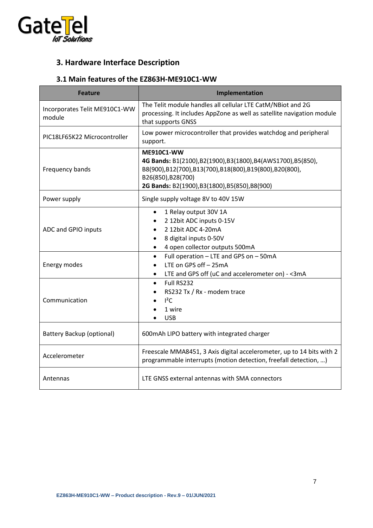![](_page_6_Picture_0.jpeg)

### <span id="page-6-0"></span>**3. Hardware Interface Description**

#### <span id="page-6-1"></span>**3.1 Main features of the EZ863H-ME910C1-WW**

| <b>Feature</b>                          | Implementation                                                                                                                                                                                                  |  |  |
|-----------------------------------------|-----------------------------------------------------------------------------------------------------------------------------------------------------------------------------------------------------------------|--|--|
| Incorporates Telit ME910C1-WW<br>module | The Telit module handles all cellular LTE CatM/NBiot and 2G<br>processing. It includes AppZone as well as satellite navigation module<br>that supports GNSS                                                     |  |  |
| PIC18LF65K22 Microcontroller            | Low power microcontroller that provides watchdog and peripheral<br>support.                                                                                                                                     |  |  |
| Frequency bands                         | <b>ME910C1-WW</b><br>4G Bands: B1(2100),B2(1900),B3(1800),B4(AWS1700),B5(850),<br>B8(900),B12(700),B13(700),B18(800),B19(800),B20(800),<br>B26(850), B28(700)<br>2G Bands: B2(1900), B3(1800), B5(850), B8(900) |  |  |
| Power supply                            | Single supply voltage 8V to 40V 15W                                                                                                                                                                             |  |  |
| ADC and GPIO inputs                     | 1 Relay output 30V 1A<br>$\bullet$<br>2 12bit ADC inputs 0-15V<br>2 12bit ADC 4-20mA<br>8 digital inputs 0-50V<br>4 open collector outputs 500mA                                                                |  |  |
| Energy modes                            | Full operation - LTE and GPS on - 50mA<br>$\bullet$<br>LTE on GPS off - 25mA<br>LTE and GPS off (uC and accelerometer on) - < 3mA<br>$\bullet$                                                                  |  |  |
| Communication                           | Full RS232<br>$\bullet$<br>RS232 Tx / Rx - modem trace<br>$I^2C$<br>1 wire<br><b>USB</b>                                                                                                                        |  |  |
| <b>Battery Backup (optional)</b>        | 600mAh LIPO battery with integrated charger                                                                                                                                                                     |  |  |
| Accelerometer                           | Freescale MMA8451, 3 Axis digital accelerometer, up to 14 bits with 2<br>programmable interrupts (motion detection, freefall detection, )                                                                       |  |  |
| Antennas                                | LTE GNSS external antennas with SMA connectors                                                                                                                                                                  |  |  |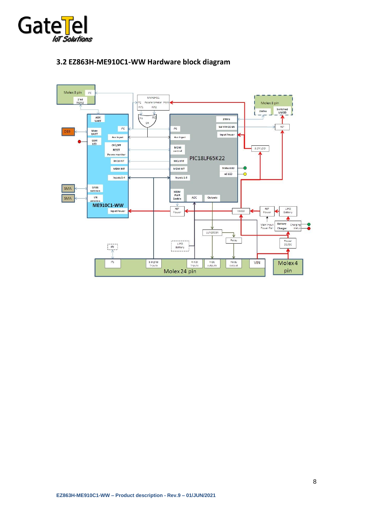![](_page_7_Picture_0.jpeg)

![](_page_7_Figure_1.jpeg)

#### <span id="page-7-0"></span>**3.2 EZ863H-ME910C1-WW Hardware block diagram**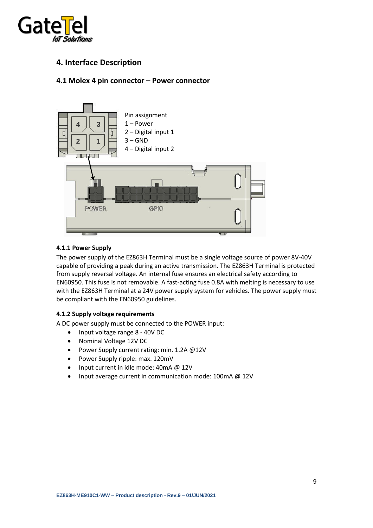![](_page_8_Picture_0.jpeg)

#### <span id="page-8-0"></span>**4. Interface Description**

#### <span id="page-8-1"></span>**4.1 Molex 4 pin connector – Power connector**

![](_page_8_Figure_3.jpeg)

#### <span id="page-8-2"></span>**4.1.1 Power Supply**

The power supply of the EZ863H Terminal must be a single voltage source of power 8V-40V capable of providing a peak during an active transmission. The EZ863H Terminal is protected from supply reversal voltage. An internal fuse ensures an electrical safety according to EN60950. This fuse is not removable. A fast-acting fuse 0.8A with melting is necessary to use with the EZ863H Terminal at a 24V power supply system for vehicles. The power supply must be compliant with the EN60950 guidelines.

#### <span id="page-8-3"></span>**4.1.2 Supply voltage requirements**

A DC power supply must be connected to the POWER input:

- Input voltage range 8 40V DC
- Nominal Voltage 12V DC
- Power Supply current rating: min. 1.2A @12V
- Power Supply ripple: max. 120mV
- Input current in idle mode: 40mA @ 12V
- Input average current in communication mode: 100mA @ 12V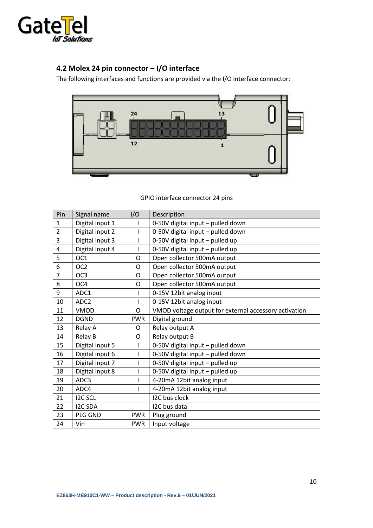![](_page_9_Picture_0.jpeg)

### <span id="page-9-0"></span>**4.2 Molex 24 pin connector – I/O interface**

The following interfaces and functions are provided via the I/O interface connector:

![](_page_9_Figure_3.jpeg)

| Pin            | Signal name      | I/O        | Description                                           |  |
|----------------|------------------|------------|-------------------------------------------------------|--|
| $\mathbf{1}$   | Digital input 1  |            | 0-50V digital input - pulled down                     |  |
| $\overline{2}$ | Digital input 2  |            | 0-50V digital input - pulled down                     |  |
| 3              | Digital input 3  |            | 0-50V digital input - pulled up                       |  |
| $\overline{4}$ | Digital input 4  |            | 0-50V digital input - pulled up                       |  |
| 5              | OC <sub>1</sub>  | O          | Open collector 500mA output                           |  |
| 6              | OC <sub>2</sub>  | O          | Open collector 500mA output                           |  |
| $\overline{7}$ | OC <sub>3</sub>  | O          | Open collector 500mA output                           |  |
| 8              | OC4              | O          | Open collector 500mA output                           |  |
| 9              | ADC1             |            | 0-15V 12bit analog input                              |  |
| 10             | ADC <sub>2</sub> |            | 0-15V 12bit analog input                              |  |
| 11             | VMOD             | O          | VMOD voltage output for external accessory activation |  |
| 12             | <b>DGND</b>      | <b>PWR</b> | Digital ground                                        |  |
| 13             | Relay A          | O          | Relay output A                                        |  |
| 14             | Relay B          | 0          | Relay output B                                        |  |
| 15             | Digital input 5  |            | 0-50V digital input - pulled down                     |  |
| 16             | Digital input 6  |            | 0-50V digital input - pulled down                     |  |
| 17             | Digital input 7  |            | 0-50V digital input - pulled up                       |  |
| 18             | Digital input 8  |            | 0-50V digital input - pulled up                       |  |
| 19             | ADC3             |            | 4-20mA 12bit analog input                             |  |
| 20             | ADC4             |            | 4-20mA 12bit analog input                             |  |
| 21             | <b>I2C SCL</b>   |            | I2C bus clock                                         |  |
| 22             | <b>I2C SDA</b>   |            | I2C bus data                                          |  |
| 23             | PLG GND          | <b>PWR</b> | Plug ground                                           |  |
| 24             | Vin              | <b>PWR</b> | Input voltage                                         |  |

GPIO interface connector 24 pins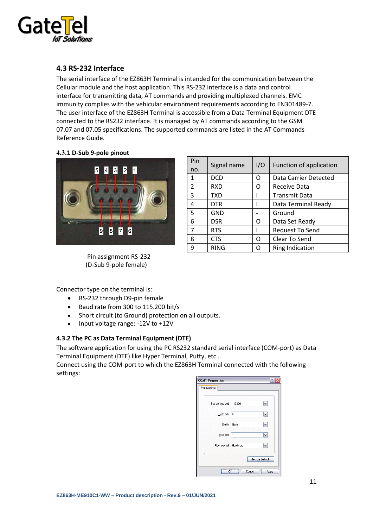![](_page_10_Picture_0.jpeg)

#### <span id="page-10-0"></span>**4.3 RS-232 Interface**

The serial interface of the EZ863H Terminal is intended for the communication between the Cellular module and the host application. This RS-232 interface is a data and control interface for transmitting data, AT commands and providing multiplexed channels. EMC immunity complies with the vehicular environment requirements according to EN301489-7. The user interface of the EZ863H Terminal is accessible from a Data Terminal Equipment DTE connected to the RS232 interface. It is managed by AT commands according to the GSM 07.07 and 07.05 specifications. The supported commands are listed in the AT Commands Reference Guide.

# <span id="page-10-1"></span>**4.3.1 D-Sub 9-pole pinout** 15 I 4 3 2 1  $|9|$ 8 7 6

Pin assignment RS-232 (D-Sub 9-pole female)

| Pin<br>no.     | Signal name | I/O | Function of application |
|----------------|-------------|-----|-------------------------|
| 1              | <b>DCD</b>  | Ω   | Data Carrier Detected   |
| 2              | <b>RXD</b>  | റ   | Receive Data            |
| 3              | <b>TXD</b>  |     | <b>Transmit Data</b>    |
| 4              | <b>DTR</b>  |     | Data Terminal Ready     |
| 5              | <b>GND</b>  |     | Ground                  |
| 6              | <b>DSR</b>  | Ω   | Data Set Ready          |
| $\overline{7}$ | <b>RTS</b>  |     | Request To Send         |
| 8              | <b>CTS</b>  | Ω   | Clear To Send           |
| 9              | <b>RING</b> | O   | <b>Ring Indication</b>  |

Connector type on the terminal is:

- RS-232 through D9-pin female
- Baud rate from 300 to 115.200 bit/s
- Short circuit (to Ground) protection on all outputs.
- Input voltage range: -12V to +12V

#### <span id="page-10-2"></span>**4.3.2 The PC as Data Terminal Equipment (DTE)**

The software application for using the PC RS232 standard serial interface (COM-port) as Data Terminal Equipment (DTE) like Hyper Terminal, Putty, etc…

Connect using the COM-port to which the EZ863H Terminal connected with the following settings:

![](_page_10_Picture_15.jpeg)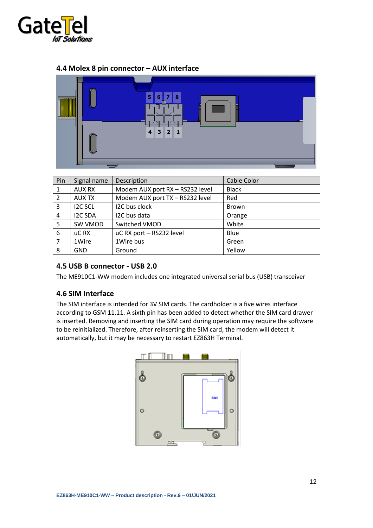![](_page_11_Picture_0.jpeg)

#### <span id="page-11-0"></span>**4.4 Molex 8 pin connector – AUX interface**

![](_page_11_Figure_2.jpeg)

| Pin | Signal name    | Description                     | Cable Color  |
|-----|----------------|---------------------------------|--------------|
|     | <b>AUX RX</b>  | Modem AUX port RX - RS232 level | <b>Black</b> |
| 2   | <b>AUX TX</b>  | Modem AUX port TX - RS232 level | Red          |
| 3   | <b>I2C SCL</b> | I2C bus clock                   | <b>Brown</b> |
| 4   | <b>I2C SDA</b> | I2C bus data                    | Orange       |
| 5   | SW VMOD        | Switched VMOD                   | White        |
| 6   | uC RX          | uC RX port - RS232 level        | Blue         |
| 7   | 1Wire          | 1Wire bus                       | Green        |
| 8   | <b>GND</b>     | Ground                          | Yellow       |

#### <span id="page-11-1"></span>**4.5 USB B connector - USB 2.0**

The ME910C1-WW modem includes one integrated universal serial bus (USB) transceiver

#### <span id="page-11-2"></span>**4.6 SIM Interface**

The SIM interface is intended for 3V SIM cards. The cardholder is a five wires interface according to GSM 11.11. A sixth pin has been added to detect whether the SIM card drawer is inserted. Removing and inserting the SIM card during operation may require the software to be reinitialized. Therefore, after reinserting the SIM card, the modem will detect it automatically, but it may be necessary to restart EZ863H Terminal.

![](_page_11_Figure_8.jpeg)